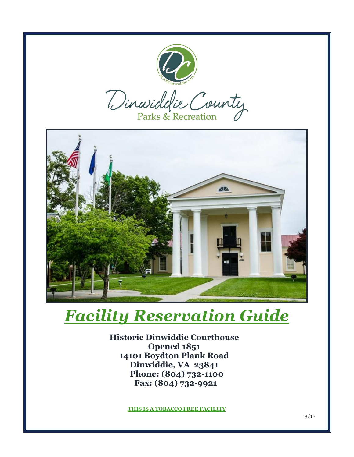

## *Facility Reservation Guide*

**Historic Dinwiddie Courthouse Opened 1851 14101 Boydton Plank Road Dinwiddie, VA 23841 Phone: (804) 732-1100 Fax: (804) 732-9921**

**THIS IS A TOBACCO FREE FACILITY**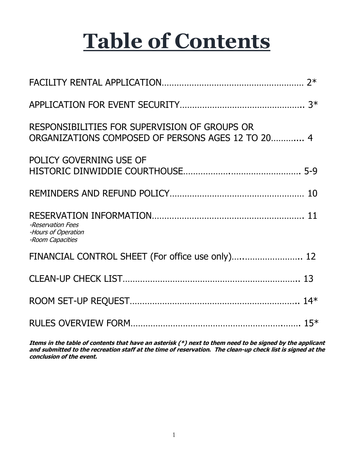# **Table of Contents**

| RESPONSIBILITIES FOR SUPERVISION OF GROUPS OR<br>ORGANIZATIONS COMPOSED OF PERSONS AGES 12 TO 20 4 |  |
|----------------------------------------------------------------------------------------------------|--|
| POLICY GOVERNING USE OF                                                                            |  |
| 10                                                                                                 |  |
| -Reservation Fees<br>-Hours of Operation<br>-Room Capacities                                       |  |
| FINANCIAL CONTROL SHEET (For office use only) 12                                                   |  |
|                                                                                                    |  |
|                                                                                                    |  |
|                                                                                                    |  |

**Items in the table of contents that have an asterisk (\*) next to them need to be signed by the applicant and submitted to the recreation staff at the time of reservation. The clean-up check list is signed at the conclusion of the event.**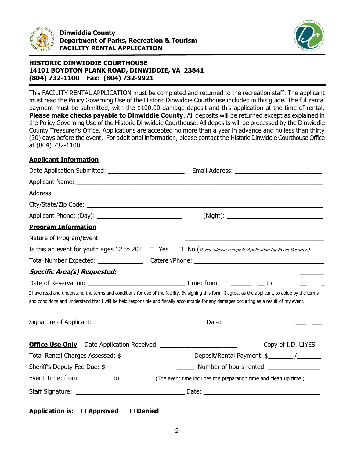



This FACILITY RENTAL APPLICATION must be completed and returned to the recreation staff. The applicant must read the Policy Governing Use of the Historic Dinwiddie Courthouse included in this guide. The full rental payment must be submitted, with the \$100.00 damage deposit and this application at the time of rental. **Please make checks payable to Dinwiddie County**. All deposits will be returned except as explained in the Policy Governing Use of the Historic Dinwiddie Courthouse. All deposits will be processed by the Dinwiddie County Treasurer's Office. Applications are accepted no more than a year in advance and no less than thirty (30) days before the event. For additional information, please contact the Historic Dinwiddie Courthouse Office at (804) 732-1100.

#### **Applicant Information**

| Applicant Name: <u>Applicant Name:</u> Applicant Name: Applicant Name: Applicant Name: Applicant Name: Applicant Name: Applicant Name: Applicant Name: Applicant Name: Applicant Name: Applicant Name: Applicant Name: Applicant Na                                                              |  |  |                   |  |
|--------------------------------------------------------------------------------------------------------------------------------------------------------------------------------------------------------------------------------------------------------------------------------------------------|--|--|-------------------|--|
|                                                                                                                                                                                                                                                                                                  |  |  |                   |  |
|                                                                                                                                                                                                                                                                                                  |  |  |                   |  |
|                                                                                                                                                                                                                                                                                                  |  |  |                   |  |
| <b>Program Information</b>                                                                                                                                                                                                                                                                       |  |  |                   |  |
|                                                                                                                                                                                                                                                                                                  |  |  |                   |  |
| Is this an event for youth ages 12 to 20? $\Box$ Yes $\Box$ No (If yes, please complete Application for Event Security.)                                                                                                                                                                         |  |  |                   |  |
|                                                                                                                                                                                                                                                                                                  |  |  |                   |  |
|                                                                                                                                                                                                                                                                                                  |  |  |                   |  |
|                                                                                                                                                                                                                                                                                                  |  |  |                   |  |
| I have read and understand the terms and conditions for use of the facility. By signing this form, I agree, as the applicant, to abide by the terms<br>and conditions and understand that I will be held responsible and fiscally accountable for any damages occurring as a result of my event. |  |  |                   |  |
|                                                                                                                                                                                                                                                                                                  |  |  |                   |  |
|                                                                                                                                                                                                                                                                                                  |  |  | Copy of I.D. □YES |  |
|                                                                                                                                                                                                                                                                                                  |  |  |                   |  |
|                                                                                                                                                                                                                                                                                                  |  |  |                   |  |
|                                                                                                                                                                                                                                                                                                  |  |  |                   |  |
|                                                                                                                                                                                                                                                                                                  |  |  |                   |  |

**Application is: Approved Denied**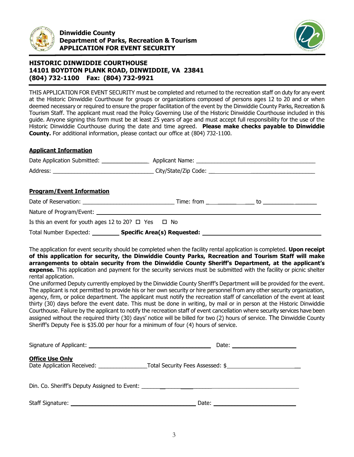



THIS APPLICATION FOR EVENT SECURITY must be completed and returned to the recreation staff on duty for any event at the Historic Dinwiddie Courthouse for groups or organizations composed of persons ages 12 to 20 and or when deemed necessary or required to ensure the proper facilitation of the event by the Dinwiddie County Parks, Recreation & Tourism Staff. The applicant must read the Policy Governing Use of the Historic Dinwiddie Courthouse included in this guide. Anyone signing this form must be at least 25 years of age and must accept full responsibility for the use of the Historic Dinwiddie Courthouse during the date and time agreed. **Please make checks payable to Dinwiddie County.** For additional information, please contact our office at (804) 732-1100.

#### **Applicant Information**

| <b>Program/Event Information</b>                               |                                                                |  |  |  |  |
|----------------------------------------------------------------|----------------------------------------------------------------|--|--|--|--|
|                                                                |                                                                |  |  |  |  |
|                                                                |                                                                |  |  |  |  |
| Is this an event for youth ages 12 to 20? $\Box$ Yes $\Box$ No |                                                                |  |  |  |  |
|                                                                | Total Number Expected: ___________ Specific Area(s) Requested: |  |  |  |  |

The application for event security should be completed when the facility rental application is completed. **Upon receipt of this application for security, the Dinwiddie County Parks, Recreation and Tourism Staff will make arrangements to obtain security from the Dinwiddie County Sheriff's Department, at the applicant's expense.** This application and payment for the security services must be submitted with the facility or picnic shelter rental application.

One uniformed Deputy currently employed by the Dinwiddie County Sheriff's Department will be provided for the event. The applicant is not permitted to provide his or her own security or hire personnel from any other security organization, agency, firm, or police department. The applicant must notify the recreation staff of cancellation of the event at least thirty (30) days before the event date. This must be done in writing, by mail or in person at the Historic Dinwiddie Courthouse. Failure by the applicant to notify the recreation staff of event cancellation where security services have been assigned without the required thirty (30) days' notice will be billed for two (2) hours of service. The Dinwiddie County Sheriff's Deputy Fee is \$35.00 per hour for a minimum of four (4) hours of service.

| Signature of Applicant: National Accounts and Accounts are also been accounted by the Signature of Applicant: | Date: $\sqrt{ }$                                                         |
|---------------------------------------------------------------------------------------------------------------|--------------------------------------------------------------------------|
| <b>Office Use Only</b>                                                                                        | Date Application Received: The Contract Total Security Fees Assessed: \$ |
|                                                                                                               |                                                                          |
| Staff Signature:                                                                                              | Date:                                                                    |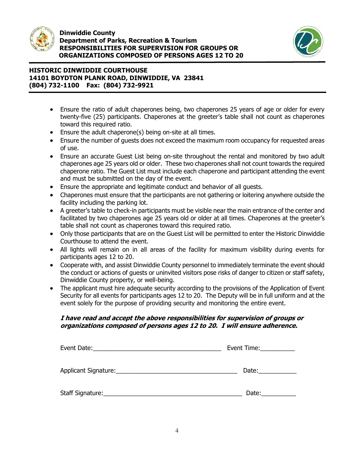

í



## **HISTORIC DINWIDDIE COURTHOUSE 14101 BOYDTON PLANK ROAD, DINWIDDIE, VA 23841 (804) 732-1100 Fax: (804) 732-9921**

- Ensure the ratio of adult chaperones being, two chaperones 25 years of age or older for every twenty-five (25) participants. Chaperones at the greeter's table shall not count as chaperones toward this required ratio.
- Ensure the adult chaperone(s) being on-site at all times.
- Ensure the number of guests does not exceed the maximum room occupancy for requested areas of use.
- Ensure an accurate Guest List being on-site throughout the rental and monitored by two adult chaperones age 25 years old or older. These two chaperones shall not count towards the required chaperone ratio. The Guest List must include each chaperone and participant attending the event and must be submitted on the day of the event.
- Ensure the appropriate and legitimate conduct and behavior of all guests.
- Chaperones must ensure that the participants are not gathering or loitering anywhere outside the facility including the parking lot.
- A greeter's table to check-in participants must be visible near the main entrance of the center and facilitated by two chaperones age 25 years old or older at all times. Chaperones at the greeter's table shall not count as chaperones toward this required ratio.
- Only those participants that are on the Guest List will be permitted to enter the Historic Dinwiddie Courthouse to attend the event.
- All lights will remain on in all areas of the facility for maximum visibility during events for participants ages 12 to 20.
- Cooperate with, and assist Dinwiddie County personnel to immediately terminate the event should the conduct or actions of guests or uninvited visitors pose risks of danger to citizen or staff safety, Dinwiddie County property, or well-being.
- The applicant must hire adequate security according to the provisions of the Application of Event Security for all events for participants ages 12 to 20. The Deputy will be in full uniform and at the event solely for the purpose of providing security and monitoring the entire event.

## **I have read and accept the above responsibilities for supervision of groups or organizations composed of persons ages 12 to 20. I will ensure adherence.**

|                                                                                                                                               | Event Time: $\sqrt{2\pi}$ |
|-----------------------------------------------------------------------------------------------------------------------------------------------|---------------------------|
| Applicant Signature:_<br><u> 1989 - Jan Stein Stein Stein Stein Stein Stein Stein Stein Stein Stein Stein Stein Stein Stein Stein Stein S</u> | Date:                     |
| Staff Signature:                                                                                                                              | Date:                     |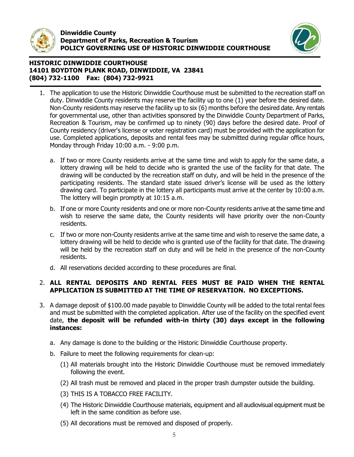

l



#### **HISTORIC DINWIDDIE COURTHOUSE 14101 BOYDTON PLANK ROAD, DINWIDDIE, VA 23841 (804) 732-1100 Fax: (804) 732-9921**

- 1. The application to use the Historic Dinwiddie Courthouse must be submitted to the recreation staff on duty. Dinwiddie County residents may reserve the facility up to one (1) year before the desired date. Non-County residents may reserve the facility up to six (6) months before the desired date. Any rentals for governmental use, other than activities sponsored by the Dinwiddie County Department of Parks, Recreation & Tourism, may be confirmed up to ninety (90) days before the desired date. Proof of County residency (driver's license or voter registration card) must be provided with the application for use. Completed applications, deposits and rental fees may be submitted during regular office hours, Monday through Friday 10:00 a.m. - 9:00 p.m.
	- a. If two or more County residents arrive at the same time and wish to apply for the same date, a lottery drawing will be held to decide who is granted the use of the facility for that date. The drawing will be conducted by the recreation staff on duty, and will be held in the presence of the participating residents. The standard state issued driver's license will be used as the lottery drawing card. To participate in the lottery all participants must arrive at the center by 10:00 a.m. The lottery will begin promptly at 10:15 a.m.
	- b. If one or more County residents and one or more non-County residents arrive at the same time and wish to reserve the same date, the County residents will have priority over the non-County residents.
	- c. If two or more non-County residents arrive at the same time and wish to reserve the same date, a lottery drawing will be held to decide who is granted use of the facility for that date. The drawing will be held by the recreation staff on duty and will be held in the presence of the non-County residents.
	- d. All reservations decided according to these procedures are final.

#### 2. **ALL RENTAL DEPOSITS AND RENTAL FEES MUST BE PAID WHEN THE RENTAL APPLICATION IS SUBMITTED AT THE TIME OF RESERVATION. NO EXCEPTIONS.**

- 3. A damage deposit of \$100.00 made payable to Dinwiddie County will be added to the total rental fees and must be submitted with the completed application. After use of the facility on the specified event date, **the deposit will be refunded with-in thirty (30) days except in the following instances:**
	- a. Any damage is done to the building or the Historic Dinwiddie Courthouse property.
	- b. Failure to meet the following requirements for clean-up:
		- (1) All materials brought into the Historic Dinwiddie Courthouse must be removed immediately following the event.
		- (2) All trash must be removed and placed in the proper trash dumpster outside the building.
		- (3) THIS IS A TOBACCO FREE FACILITY.
		- (4) The Historic Dinwiddie Courthouse materials, equipment and all audiovisual equipment must be left in the same condition as before use.
		- (5) All decorations must be removed and disposed of properly.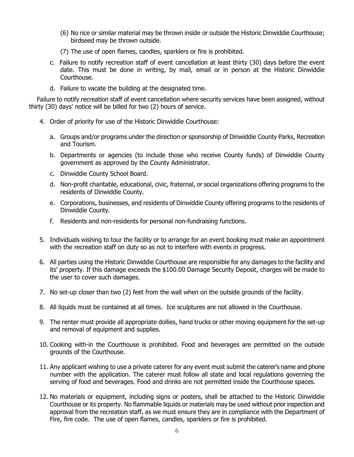- (6) No rice or similar material may be thrown inside or outside the Historic Dinwiddie Courthouse; birdseed may be thrown outside.
- (7) The use of open flames, candles, sparklers or fire is prohibited.
- c. Failure to notify recreation staff of event cancellation at least thirty (30) days before the event date. This must be done in writing, by mail, email or in person at the Historic Dinwiddie Courthouse.
- d. Failure to vacate the building at the designated time.

 Failure to notify recreation staff of event cancellation where security services have been assigned, without thirty (30) days' notice will be billed for two (2) hours of service.

- 4. Order of priority for use of the Historic Dinwiddie Courthouse:
	- a. Groups and/or programs under the direction or sponsorship of Dinwiddie County Parks, Recreation and Tourism.
	- b. Departments or agencies (to include those who receive County funds) of Dinwiddie County government as approved by the County Administrator.
	- c. Dinwiddie County School Board.
	- d. Non-profit charitable, educational, civic, fraternal, or social organizations offering programs to the residents of Dinwiddie County.
	- e. Corporations, businesses, and residents of Dinwiddie County offering programs to the residents of Dinwiddie County.
	- f. Residents and non-residents for personal non-fundraising functions.
- 5. Individuals wishing to tour the facility or to arrange for an event booking must make an appointment with the recreation staff on duty so as not to interfere with events in progress.
- 6. All parties using the Historic Dinwiddie Courthouse are responsible for any damages to the facility and its' property. If this damage exceeds the \$100.00 Damage Security Deposit, charges will be made to the user to cover such damages.
- 7. No set-up closer than two (2) feet from the wall when on the outside grounds of the facility.
- 8. All liquids must be contained at all times. Ice sculptures are not allowed in the Courthouse.
- 9. The renter must provide all appropriate dollies, hand trucks or other moving equipment for the set-up and removal of equipment and supplies.
- 10. Cooking with-in the Courthouse is prohibited. Food and beverages are permitted on the outside grounds of the Courthouse.
- 11. Any applicant wishing to use a private caterer for any event must submit the caterer's name and phone number with the application. The caterer must follow all state and local regulations governing the serving of food and beverages. Food and drinks are not permitted inside the Courthouse spaces.
- 12. No materials or equipment, including signs or posters, shall be attached to the Historic Dinwiddie Courthouse or its property. No flammable liquids or materials may be used without prior inspection and approval from the recreation staff, as we must ensure they are in compliance with the Department of Fire, fire code. The use of open flames, candles, sparklers or fire is prohibited.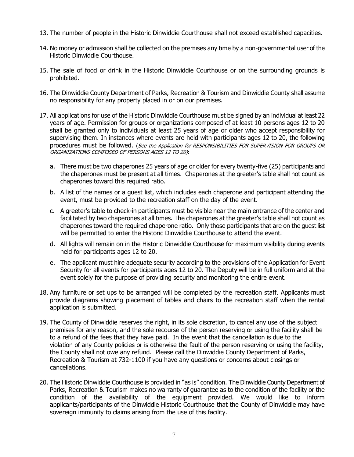- 13. The number of people in the Historic Dinwiddie Courthouse shall not exceed established capacities.
- 14. No money or admission shall be collected on the premises any time by a non-governmental user of the Historic Dinwiddie Courthouse.
- 15. The sale of food or drink in the Historic Dinwiddie Courthouse or on the surrounding grounds is prohibited.
- 16. The Dinwiddie County Department of Parks, Recreation & Tourism and Dinwiddie County shall assume no responsibility for any property placed in or on our premises.
- 17. All applications for use of the Historic Dinwiddie Courthouse must be signed by an individual at least 22 years of age. Permission for groups or organizations composed of at least 10 persons ages 12 to 20 shall be granted only to individuals at least 25 years of age or older who accept responsibility for supervising them. In instances where events are held with participants ages 12 to 20, the following procedures must be followed. (See the Application for RESPONSIBILITIES FOR SUPERVISION FOR GROUPS OR ORGANIZATIONS COMPOSED OF PERSONS AGES 12 TO 20):
	- a. There must be two chaperones 25 years of age or older for every twenty-five (25) participants and the chaperones must be present at all times. Chaperones at the greeter's table shall not count as chaperones toward this required ratio.
	- b. A list of the names or a guest list, which includes each chaperone and participant attending the event, must be provided to the recreation staff on the day of the event.
	- c. A greeter's table to check-in participants must be visible near the main entrance of the center and facilitated by two chaperones at all times. The chaperones at the greeter's table shall not count as chaperones toward the required chaperone ratio. Only those participants that are on the guest list will be permitted to enter the Historic Dinwiddie Courthouse to attend the event.
	- d. All lights will remain on in the Historic Dinwiddie Courthouse for maximum visibility during events held for participants ages 12 to 20.
	- e. The applicant must hire adequate security according to the provisions of the Application for Event Security for all events for participants ages 12 to 20. The Deputy will be in full uniform and at the event solely for the purpose of providing security and monitoring the entire event.
- 18. Any furniture or set ups to be arranged will be completed by the recreation staff. Applicants must provide diagrams showing placement of tables and chairs to the recreation staff when the rental application is submitted.
- 19. The County of Dinwiddie reserves the right, in its sole discretion, to cancel any use of the subject premises for any reason, and the sole recourse of the person reserving or using the facility shall be to a refund of the fees that they have paid. In the event that the cancellation is due to the violation of any County policies or is otherwise the fault of the person reserving or using the facility, the County shall not owe any refund. Please call the Dinwiddie County Department of Parks, Recreation & Tourism at 732-1100 if you have any questions or concerns about closings or cancellations.
- 20. The Historic Dinwiddie Courthouse is provided in "as is" condition. The Dinwiddie County Department of Parks, Recreation & Tourism makes no warranty of guarantee as to the condition of the facility or the condition of the availability of the equipment provided. We would like to inform applicants/participants of the Dinwiddie Historic Courthouse that the County of Dinwiddie may have sovereign immunity to claims arising from the use of this facility.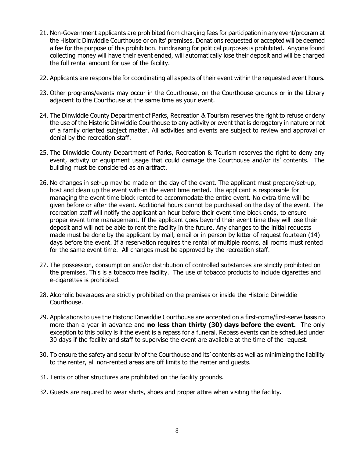- 21. Non-Government applicants are prohibited from charging fees for participation in any event/program at the Historic Dinwiddie Courthouse or on its' premises. Donations requested or accepted will be deemed a fee for the purpose of this prohibition. Fundraising for political purposes is prohibited. Anyone found collecting money will have their event ended, will automatically lose their deposit and will be charged the full rental amount for use of the facility.
- 22. Applicants are responsible for coordinating all aspects of their event within the requested event hours.
- 23. Other programs/events may occur in the Courthouse, on the Courthouse grounds or in the Library adjacent to the Courthouse at the same time as your event.
- 24. The Dinwiddie County Department of Parks, Recreation & Tourism reserves the right to refuse or deny the use of the Historic Dinwiddie Courthouse to any activity or event that is derogatory in nature or not of a family oriented subject matter. All activities and events are subject to review and approval or denial by the recreation staff.
- 25. The Dinwiddie County Department of Parks, Recreation & Tourism reserves the right to deny any event, activity or equipment usage that could damage the Courthouse and/or its' contents. The building must be considered as an artifact.
- 26. No changes in set-up may be made on the day of the event. The applicant must prepare/set-up, host and clean up the event with-in the event time rented. The applicant is responsible for managing the event time block rented to accommodate the entire event. No extra time will be given before or after the event. Additional hours cannot be purchased on the day of the event. The recreation staff will notify the applicant an hour before their event time block ends, to ensure proper event time management. If the applicant goes beyond their event time they will lose their deposit and will not be able to rent the facility in the future. Any changes to the initial requests made must be done by the applicant by mail, email or in person by letter of request fourteen (14) days before the event. If a reservation requires the rental of multiple rooms, all rooms must rented for the same event time. All changes must be approved by the recreation staff.
- 27. The possession, consumption and/or distribution of controlled substances are strictly prohibited on the premises. This is a tobacco free facility. The use of tobacco products to include cigarettes and e-cigarettes is prohibited.
- 28. Alcoholic beverages are strictly prohibited on the premises or inside the Historic Dinwiddie Courthouse.
- 29. Applications to use the Historic Dinwiddie Courthouse are accepted on a first-come/first-serve basis no more than a year in advance and **no less than thirty (30) days before the event.** The only exception to this policy is if the event is a repass for a funeral. Repass events can be scheduled under 30 days if the facility and staff to supervise the event are available at the time of the request.
- 30. To ensure the safety and security of the Courthouse and its' contents as well as minimizing the liability to the renter, all non-rented areas are off limits to the renter and guests.
- 31. Tents or other structures are prohibited on the facility grounds.
- 32. Guests are required to wear shirts, shoes and proper attire when visiting the facility.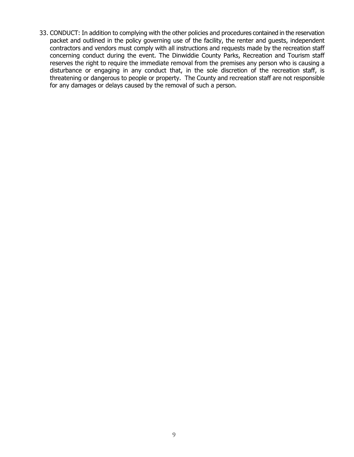33. CONDUCT: In addition to complying with the other policies and procedures contained in the reservation packet and outlined in the policy governing use of the facility, the renter and guests, independent contractors and vendors must comply with all instructions and requests made by the recreation staff concerning conduct during the event. The Dinwiddie County Parks, Recreation and Tourism staff reserves the right to require the immediate removal from the premises any person who is causing a disturbance or engaging in any conduct that, in the sole discretion of the recreation staff, is threatening or dangerous to people or property. The County and recreation staff are not responsible for any damages or delays caused by the removal of such a person.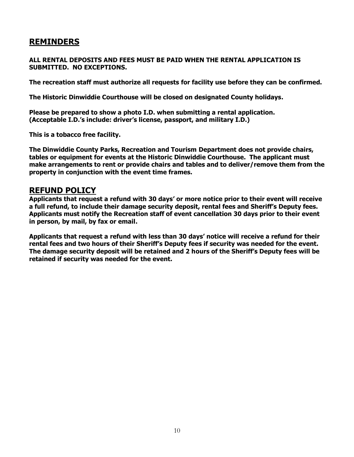## **REMINDERS**

#### **ALL RENTAL DEPOSITS AND FEES MUST BE PAID WHEN THE RENTAL APPLICATION IS SUBMITTED. NO EXCEPTIONS.**

**The recreation staff must authorize all requests for facility use before they can be confirmed.**

**The Historic Dinwiddie Courthouse will be closed on designated County holidays.**

**Please be prepared to show a photo I.D. when submitting a rental application. (Acceptable I.D.'s include: driver's license, passport, and military I.D.)** 

**This is a tobacco free facility.** 

**The Dinwiddie County Parks, Recreation and Tourism Department does not provide chairs, tables or equipment for events at the Historic Dinwiddie Courthouse. The applicant must make arrangements to rent or provide chairs and tables and to deliver/remove them from the property in conjunction with the event time frames.** 

## **REFUND POLICY**

**Applicants that request a refund with 30 days' or more notice prior to their event will receive a full refund, to include their damage security deposit, rental fees and Sheriff's Deputy fees. Applicants must notify the Recreation staff of event cancellation 30 days prior to their event in person, by mail, by fax or email.**

**Applicants that request a refund with less than 30 days' notice will receive a refund for their rental fees and two hours of their Sheriff's Deputy fees if security was needed for the event. The damage security deposit will be retained and 2 hours of the Sheriff's Deputy fees will be retained if security was needed for the event.**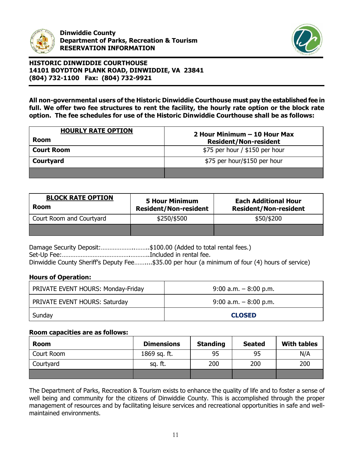



**All non-governmental users of the Historic Dinwiddie Courthouse must pay the established fee in full. We offer two fee structures to rent the facility, the hourly rate option or the block rate option. The fee schedules for use of the Historic Dinwiddie Courthouse shall be as follows:**

| <b>HOURLY RATE OPTION</b> | 2 Hour Minimum – 10 Hour Max     |  |  |  |
|---------------------------|----------------------------------|--|--|--|
| <b>Room</b>               | <b>Resident/Non-resident</b>     |  |  |  |
| <b>Court Room</b>         | $$75$ per hour / $$150$ per hour |  |  |  |
| Courtyard                 | \$75 per hour/\$150 per hour     |  |  |  |
|                           |                                  |  |  |  |

| <b>BLOCK RATE OPTION</b><br><b>Room</b> | <b>5 Hour Minimum</b><br><b>Resident/Non-resident</b> | <b>Each Additional Hour</b><br><b>Resident/Non-resident</b> |  |  |
|-----------------------------------------|-------------------------------------------------------|-------------------------------------------------------------|--|--|
| Court Room and Courtyard                | \$250/\$500                                           | \$50/\$200                                                  |  |  |
|                                         |                                                       |                                                             |  |  |

Damage Security Deposit:............................\$100.00 (Added to total rental fees.) Set-Up Fee:………………………………….………..Included in rental fee. Dinwiddie County Sheriff's Deputy Fee……....\$35.00 per hour (a minimum of four (4) hours of service)

## **Hours of Operation:**

| <b>PRIVATE EVENT HOURS: Monday-Friday</b> | $9:00$ a.m. $-8:00$ p.m. |
|-------------------------------------------|--------------------------|
| <b>PRIVATE EVENT HOURS: Saturday</b>      | $9:00$ a.m. $-8:00$ p.m. |
| Sunday                                    | <b>CLOSED</b>            |

## **Room capacities are as follows:**

| Room       | <b>Standing</b><br><b>Dimensions</b> |     | <b>Seated</b> | <b>With tables</b> |
|------------|--------------------------------------|-----|---------------|--------------------|
| Court Room | 1869 sq. ft.                         |     | 95            | N/A                |
| Courtyard  | sq. ft.                              | 200 | 200           | 200                |
|            |                                      |     |               |                    |

The Department of Parks, Recreation & Tourism exists to enhance the quality of life and to foster a sense of well being and community for the citizens of Dinwiddie County. This is accomplished through the proper management of resources and by facilitating leisure services and recreational opportunities in safe and wellmaintained environments.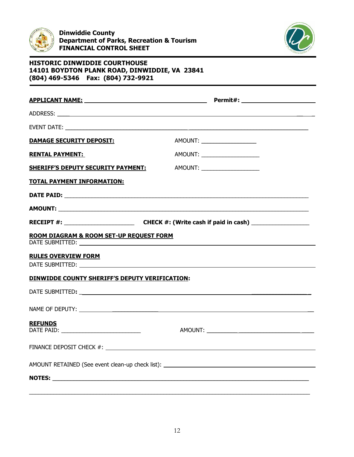



| <b>DAMAGE SECURITY DEPOSIT:</b>                | AMOUNT: _____________________                                                                        |  |
|------------------------------------------------|------------------------------------------------------------------------------------------------------|--|
| <b>RENTAL PAYMENT:</b>                         | AMOUNT: _______________________                                                                      |  |
| <b>SHERIFF'S DEPUTY SECURITY PAYMENT:</b>      | AMOUNT: _____________________                                                                        |  |
| <b>TOTAL PAYMENT INFORMATION:</b>              |                                                                                                      |  |
|                                                |                                                                                                      |  |
|                                                |                                                                                                      |  |
|                                                | RECEIPT #: ________________________________CHECK #: (Write cash if paid in cash) ___________________ |  |
| ROOM DIAGRAM & ROOM SET-UP REQUEST FORM        |                                                                                                      |  |
| <b>RULES OVERVIEW FORM</b>                     |                                                                                                      |  |
| DINWIDDE COUNTY SHERIFF'S DEPUTY VERIFICATION: |                                                                                                      |  |
|                                                |                                                                                                      |  |
|                                                |                                                                                                      |  |
| <b>REFUNDS</b>                                 |                                                                                                      |  |
| FINANCE DEPOSIT CHECK #:                       |                                                                                                      |  |
|                                                | AMOUNT RETAINED (See event clean-up check list): ________________________________                    |  |
|                                                |                                                                                                      |  |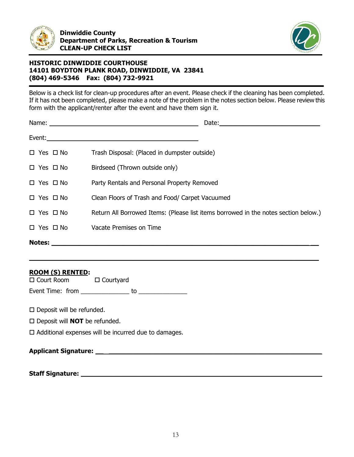



Below is a check list for clean-up procedures after an event. Please check if the cleaning has been completed. If it has not been completed, please make a note of the problem in the notes section below. Please review this form with the applicant/renter after the event and have them sign it.

|                      | Date:                                                                               |
|----------------------|-------------------------------------------------------------------------------------|
|                      |                                                                                     |
| $\Box$ Yes $\Box$ No | Trash Disposal: (Placed in dumpster outside)                                        |
| $\Box$ Yes $\Box$ No | Birdseed (Thrown outside only)                                                      |
| $\Box$ Yes $\Box$ No | Party Rentals and Personal Property Removed                                         |
| $\Box$ Yes $\Box$ No | Clean Floors of Trash and Food/ Carpet Vacuumed                                     |
| $\Box$ Yes $\Box$ No | Return All Borrowed Items: (Please list items borrowed in the notes section below.) |
| $\Box$ Yes $\Box$ No | Vacate Premises on Time                                                             |
| <b>Notes:</b>        |                                                                                     |

**\_\_\_\_\_\_\_\_\_\_\_\_\_\_\_\_\_\_\_\_\_\_\_\_\_\_\_\_\_\_\_\_\_\_\_\_\_\_\_\_\_\_\_\_\_\_\_\_\_\_\_\_\_\_\_\_\_\_\_\_\_\_\_\_\_\_\_\_\_\_\_\_**

#### **ROOM (S) RENTED:**

□ Court Room □ Courtyard

Event Time: from \_\_\_\_\_\_\_\_\_\_\_\_\_\_ to \_\_\_\_\_\_\_\_\_\_\_\_\_\_

 $\square$  Deposit will be refunded.

□ Deposit will **NOT** be refunded.

 $\Box$  Additional expenses will be incurred due to damages.

## **Applicant Signature: \_\_ \_\_\_\_\_\_\_\_\_\_\_\_\_\_\_\_\_\_\_\_\_\_\_\_\_\_\_\_\_\_\_\_\_\_\_\_\_\_\_\_\_\_\_\_\_\_\_\_\_\_\_\_\_**

**Staff Signature: \_\_\_\_\_\_\_\_\_\_\_\_\_\_\_\_\_\_\_\_\_\_\_\_\_\_\_\_\_\_\_\_\_\_\_\_\_\_\_\_\_\_\_\_\_\_\_\_\_\_\_\_\_\_\_\_\_\_\_\_**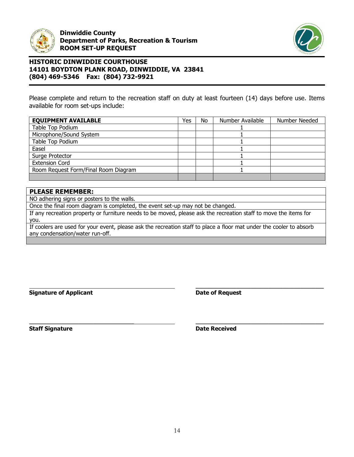



Please complete and return to the recreation staff on duty at least fourteen (14) days before use. Items available for room set-ups include:

| <b>EQUIPMENT AVAILABLE</b>           | Yes | No | Number Available | Number Needed |
|--------------------------------------|-----|----|------------------|---------------|
| Table Top Podium                     |     |    |                  |               |
| Microphone/Sound System              |     |    |                  |               |
| Table Top Podium                     |     |    |                  |               |
| Easel                                |     |    |                  |               |
| Surge Protector                      |     |    |                  |               |
| <b>Extension Cord</b>                |     |    |                  |               |
| Room Request Form/Final Room Diagram |     |    |                  |               |
|                                      |     |    |                  |               |

### **PLEASE REMEMBER:**

NO adhering signs or posters to the walls.

Once the final room diagram is completed, the event set-up may not be changed.

If any recreation property or furniture needs to be moved, please ask the recreation staff to move the items for you.

If coolers are used for your event, please ask the recreation staff to place a floor mat under the cooler to absorb any condensation/water run-off.

**Signature of Applicant Construction Construction Construction Construction Construction Construction Construction Construction Construction Construction Construction Construction Construction Construction Construction C** 

**\_\_\_\_\_\_\_\_\_\_\_\_\_\_\_\_\_\_\_\_\_\_\_\_\_\_\_\_\_\_\_\_\_\_\_\_\_\_\_\_\_\_\_\_**

**Staff Signature Date Received** 

**\_\_\_\_\_\_\_\_\_\_\_\_\_\_\_\_\_\_\_\_\_\_\_\_\_\_\_\_\_\_\_\_\_\_\_\_ \_\_\_\_\_\_\_\_\_\_\_\_\_\_\_\_\_\_\_\_\_\_\_\_\_\_\_\_\_\_\_\_\_\_\_\_\_\_\_\_\_\_\_\_**